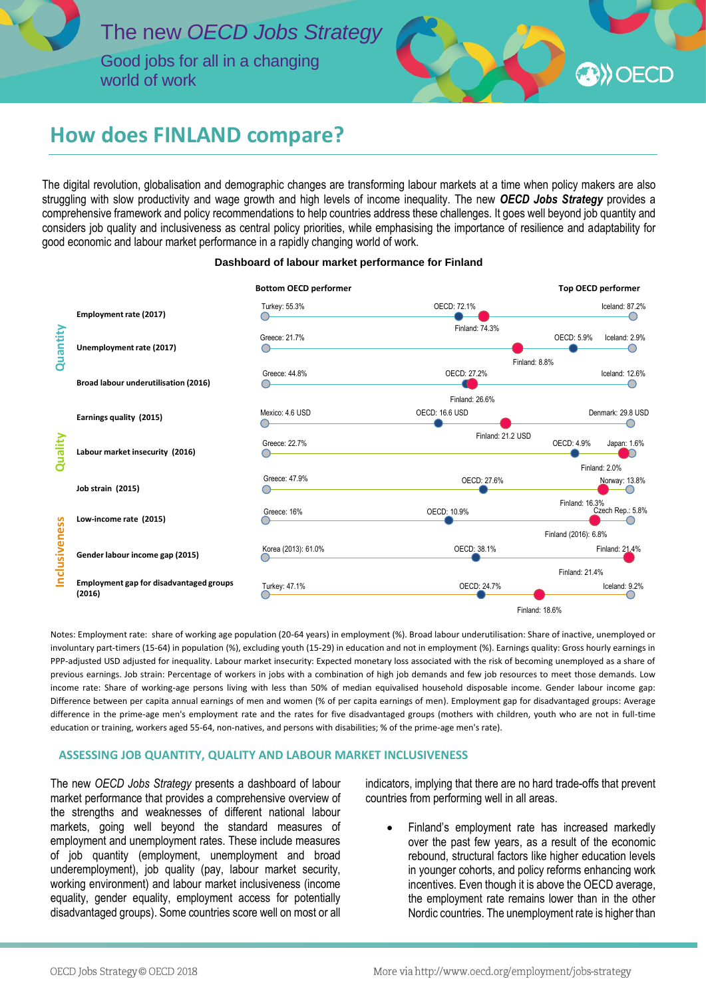

world of work



# **How does FINLAND compare?**

The digital revolution, globalisation and demographic changes are transforming labour markets at a time when policy makers are also struggling with slow productivity and wage growth and high levels of income inequality. The new *OECD Jobs Strategy* provides a comprehensive framework and policy recommendations to help countries address these challenges. It goes well beyond job quantity and considers job quality and inclusiveness as central policy priorities, while emphasising the importance of resilience and adaptability for good economic and labour market performance in a rapidly changing world of work.

#### **Dashboard of labour market performance for Finland**



Notes: Employment rate: share of working age population (20-64 years) in employment (%). Broad labour underutilisation: Share of inactive, unemployed or involuntary part-timers (15-64) in population (%), excluding youth (15-29) in education and not in employment (%). Earnings quality: Gross hourly earnings in PPP-adjusted USD adjusted for inequality. Labour market insecurity: Expected monetary loss associated with the risk of becoming unemployed as a share of previous earnings. Job strain: Percentage of workers in jobs with a combination of high job demands and few job resources to meet those demands. Low income rate: Share of working-age persons living with less than 50% of median equivalised household disposable income. Gender labour income gap: Difference between per capita annual earnings of men and women (% of per capita earnings of men). Employment gap for disadvantaged groups: Average difference in the prime-age men's employment rate and the rates for five disadvantaged groups (mothers with children, youth who are not in full-time education or training, workers aged 55-64, non-natives, and persons with disabilities; % of the prime-age men's rate).

## **ASSESSING JOB QUANTITY, QUALITY AND LABOUR MARKET INCLUSIVENESS**

The new *OECD Jobs Strategy* presents a dashboard of labour market performance that provides a comprehensive overview of the strengths and weaknesses of different national labour markets, going well beyond the standard measures of employment and unemployment rates. These include measures of job quantity (employment, unemployment and broad underemployment), job quality (pay, labour market security, working environment) and labour market inclusiveness (income equality, gender equality, employment access for potentially disadvantaged groups). Some countries score well on most or all

indicators, implying that there are no hard trade-offs that prevent countries from performing well in all areas.

 Finland's employment rate has increased markedly over the past few years, as a result of the economic rebound, structural factors like higher education levels in younger cohorts, and policy reforms enhancing work incentives. Even though it is above the OECD average, the employment rate remains lower than in the other

j